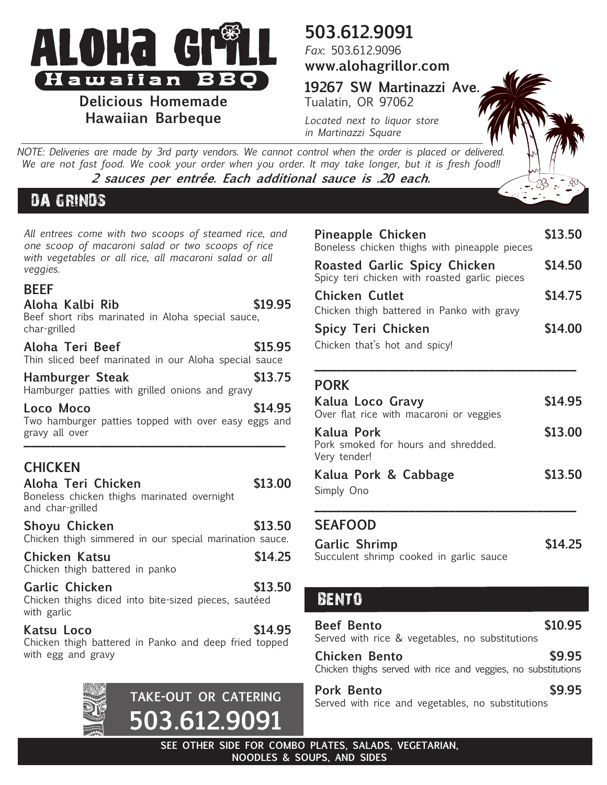

**Delicious Homemade Hawaiian Barbeque**

## **503.612.9091**

*Fax*: 503.612.9096 **www.alohagrillor.com**

**19267 SW Martinazzi Ave.** Tualatin, OR 97062

*Located next to liquor store in Martinazzi Square*

*NOTE: Deliveries are made by 3rd party vendors. We cannot control when the order is placed or delivered. We are not fast food. We cook your order when you order. It may take longer, but it is fresh food!!* **2 sauces per entrée. Each additional sauce is .20 each.**

### DA GRINDS

*All entrees come with two scoops of steamed rice, and one scoop of macaroni salad or two scoops of rice with vegetables or all rice, all macaroni salad or all veggies.*

#### **BEEF**

| Aloha Kalbi Rib<br>Beef short ribs marinated in Aloha special sauce,<br>char-grilled                    | \$19.95 |
|---------------------------------------------------------------------------------------------------------|---------|
| Aloha Teri Beef<br>Thin sliced beef marinated in our Aloha special sauce                                | \$15.95 |
| <b>Hamburger Steak</b><br>Hamburger patties with grilled onions and gravy                               | \$13.75 |
| Loco Moco<br>Two hamburger patties topped with over easy eggs and<br>gravy all over                     | \$14.95 |
| <b>CHICKEN</b><br>Aloha Teri Chicken<br>Boneless chicken thighs marinated overnight<br>and char-grilled | \$13.00 |
| Shoyu Chicken<br>Chicken thigh simmered in our special marination sauce.                                | \$13.50 |
| Chicken Katsu<br>Chicken thigh battered in panko                                                        | \$14.25 |
| Garlic Chicken<br>Chicken thighs diced into bite-sized pieces, sautéed<br>with garlic                   | \$13.50 |
| Katsu Loco<br>Chicken thigh battered in Panko and deep fried topped<br>with egg and gravy               | \$14.95 |
| <b>TAKE-OUT OR CATERING</b>                                                                             |         |

**503.612.9091**

| Pineapple Chicken<br>Boneless chicken thighs with pineapple pieces                   | \$13.50 |
|--------------------------------------------------------------------------------------|---------|
| <b>Roasted Garlic Spicy Chicken</b><br>Spicy teri chicken with roasted garlic pieces | \$14.50 |
| Chicken Cutlet<br>Chicken thigh battered in Panko with gravy                         | \$14.75 |
| Spicy Teri Chicken<br>Chicken that's hot and spicy!                                  | \$14.00 |

#### **PORK**

| Kalua Loco Gravy<br>Over flat rice with macaroni or veggies       | \$14.95 |
|-------------------------------------------------------------------|---------|
| Kalua Pork<br>Pork smoked for hours and shredded.<br>Very tender! | \$13.00 |
| Kalua Pork & Cabbage<br>Simply Ono                                | \$13.50 |

**\_\_\_\_\_\_\_\_\_\_\_\_\_\_\_\_\_\_\_\_\_\_\_\_\_\_\_\_\_\_\_\_\_\_\_\_\_\_\_**

#### **SEAFOOD**

| Garlic Shrimp                           |  |  |  | \$14.25 |
|-----------------------------------------|--|--|--|---------|
| Succulent shrimp cooked in garlic sauce |  |  |  |         |

#### BENTO

**Beef Bento \$10.95** Served with rice & vegetables, no substitutions

**Chicken Bento \$9.95** Chicken thighs served with rice and veggies, no substitutions

**Pork Bento \$9.95** Served with rice and vegetables, no substitutions

**SEE OTHER SIDE FOR COMBO PLATES, SALADS, VEGETARIAN, NOODLES & SOUPS, AND SIDES**